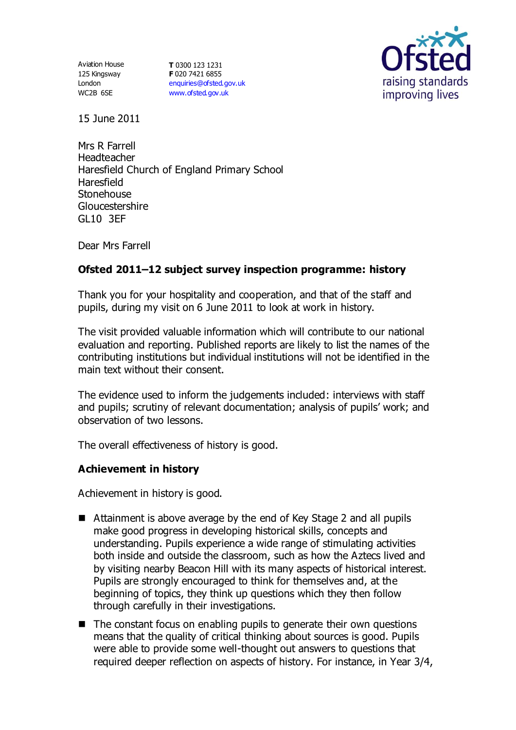Aviation House 125 Kingsway London WC2B 6SE

**T** 0300 123 1231 **F** 020 7421 6855 [enquiries@ofsted.gov.uk](mailto:enquiries@ofsted.gov.uk) [www.ofsted.gov.uk](http://www.ofsted.gov.uk/)



15 June 2011

Mrs R Farrell Headteacher Haresfield Church of England Primary School Haresfield **Stonehouse Gloucestershire** GL10 3EF

Dear Mrs Farrell

## **Ofsted 2011–12 subject survey inspection programme: history**

Thank you for your hospitality and cooperation, and that of the staff and pupils, during my visit on 6 June 2011 to look at work in history.

The visit provided valuable information which will contribute to our national evaluation and reporting. Published reports are likely to list the names of the contributing institutions but individual institutions will not be identified in the main text without their consent.

The evidence used to inform the judgements included: interviews with staff and pupils; scrutiny of relevant documentation; analysis of pupils' work; and observation of two lessons.

The overall effectiveness of history is good.

### **Achievement in history**

Achievement in history is good.

- Attainment is above average by the end of Key Stage 2 and all pupils make good progress in developing historical skills, concepts and understanding. Pupils experience a wide range of stimulating activities both inside and outside the classroom, such as how the Aztecs lived and by visiting nearby Beacon Hill with its many aspects of historical interest. Pupils are strongly encouraged to think for themselves and, at the beginning of topics, they think up questions which they then follow through carefully in their investigations.
- $\blacksquare$  The constant focus on enabling pupils to generate their own questions means that the quality of critical thinking about sources is good. Pupils were able to provide some well-thought out answers to questions that required deeper reflection on aspects of history. For instance, in Year 3/4,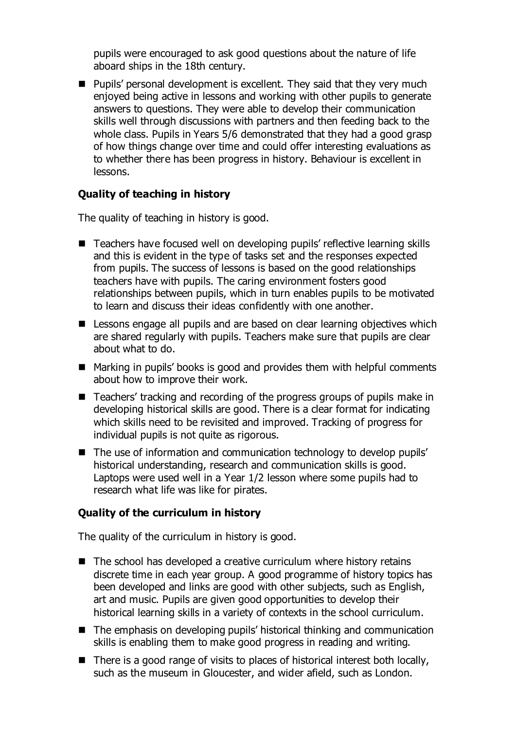pupils were encouraged to ask good questions about the nature of life aboard ships in the 18th century.

**Pupils' personal development is excellent. They said that they very much** enjoyed being active in lessons and working with other pupils to generate answers to questions. They were able to develop their communication skills well through discussions with partners and then feeding back to the whole class. Pupils in Years 5/6 demonstrated that they had a good grasp of how things change over time and could offer interesting evaluations as to whether there has been progress in history. Behaviour is excellent in lessons.

### **Quality of teaching in history**

The quality of teaching in history is good.

- Teachers have focused well on developing pupils' reflective learning skills and this is evident in the type of tasks set and the responses expected from pupils. The success of lessons is based on the good relationships teachers have with pupils. The caring environment fosters good relationships between pupils, which in turn enables pupils to be motivated to learn and discuss their ideas confidently with one another.
- **E** Lessons engage all pupils and are based on clear learning objectives which are shared regularly with pupils. Teachers make sure that pupils are clear about what to do.
- Marking in pupils' books is good and provides them with helpful comments about how to improve their work.
- Teachers' tracking and recording of the progress groups of pupils make in developing historical skills are good. There is a clear format for indicating which skills need to be revisited and improved. Tracking of progress for individual pupils is not quite as rigorous.
- The use of information and communication technology to develop pupils' historical understanding, research and communication skills is good. Laptops were used well in a Year 1/2 lesson where some pupils had to research what life was like for pirates.

# **Quality of the curriculum in history**

The quality of the curriculum in history is good.

- The school has developed a creative curriculum where history retains discrete time in each year group. A good programme of history topics has been developed and links are good with other subjects, such as English, art and music. Pupils are given good opportunities to develop their historical learning skills in a variety of contexts in the school curriculum.
- The emphasis on developing pupils' historical thinking and communication skills is enabling them to make good progress in reading and writing.
- $\blacksquare$  There is a good range of visits to places of historical interest both locally, such as the museum in Gloucester, and wider afield, such as London.